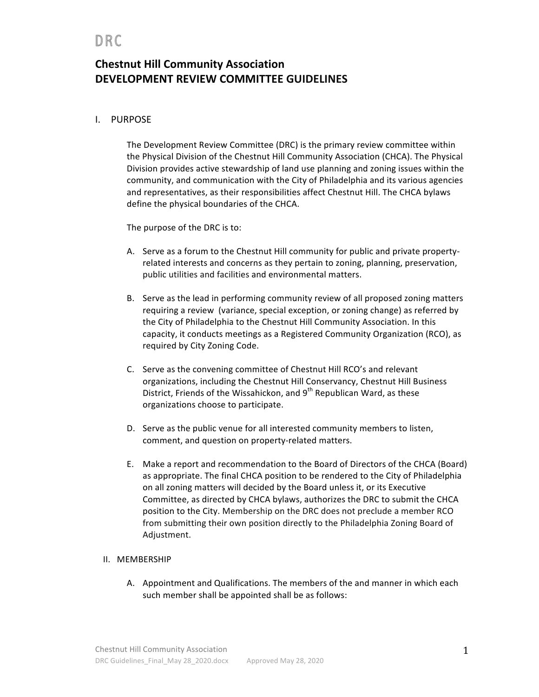# **Chestnut Hill Community Association DEVELOPMENT REVIEW COMMITTEE GUIDELINES**

# I. PURPOSE

The Development Review Committee (DRC) is the primary review committee within the Physical Division of the Chestnut Hill Community Association (CHCA). The Physical Division provides active stewardship of land use planning and zoning issues within the community, and communication with the City of Philadelphia and its various agencies and representatives, as their responsibilities affect Chestnut Hill. The CHCA bylaws define the physical boundaries of the CHCA.

The purpose of the DRC is to:

- A. Serve as a forum to the Chestnut Hill community for public and private propertyrelated interests and concerns as they pertain to zoning, planning, preservation, public utilities and facilities and environmental matters.
- B. Serve as the lead in performing community review of all proposed zoning matters requiring a review (variance, special exception, or zoning change) as referred by the City of Philadelphia to the Chestnut Hill Community Association. In this capacity, it conducts meetings as a Registered Community Organization (RCO), as required by City Zoning Code.
- C. Serve as the convening committee of Chestnut Hill RCO's and relevant organizations, including the Chestnut Hill Conservancy, Chestnut Hill Business District, Friends of the Wissahickon, and  $9<sup>th</sup>$  Republican Ward, as these organizations choose to participate.
- D. Serve as the public venue for all interested community members to listen, comment, and question on property-related matters.
- E. Make a report and recommendation to the Board of Directors of the CHCA (Board) as appropriate. The final CHCA position to be rendered to the City of Philadelphia on all zoning matters will decided by the Board unless it, or its Executive Committee, as directed by CHCA bylaws, authorizes the DRC to submit the CHCA position to the City. Membership on the DRC does not preclude a member RCO from submitting their own position directly to the Philadelphia Zoning Board of Adjustment.

# II. MEMBERSHIP

A. Appointment and Qualifications. The members of the and manner in which each such member shall be appointed shall be as follows: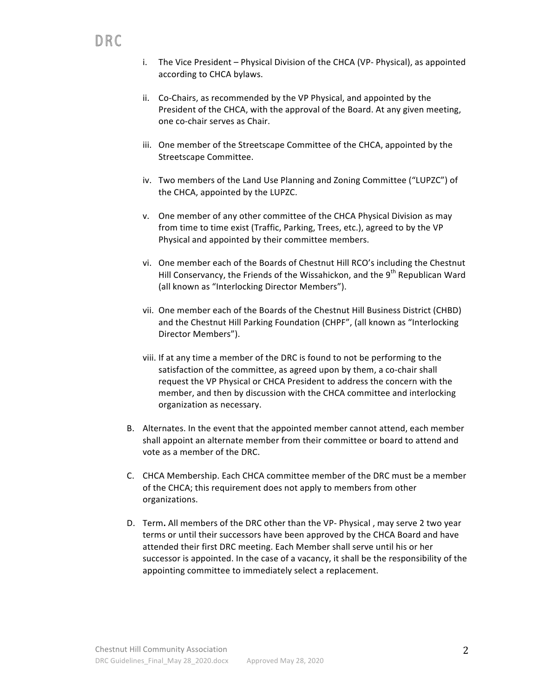- i. The Vice President Physical Division of the CHCA (VP- Physical), as appointed according to CHCA bylaws.
- ii. Co-Chairs, as recommended by the VP Physical, and appointed by the President of the CHCA, with the approval of the Board. At any given meeting, one co-chair serves as Chair.
- iii. One member of the Streetscape Committee of the CHCA, appointed by the Streetscape Committee.
- iv. Two members of the Land Use Planning and Zoning Committee ("LUPZC") of the CHCA, appointed by the LUPZC.
- v. One member of any other committee of the CHCA Physical Division as may from time to time exist (Traffic, Parking, Trees, etc.), agreed to by the VP Physical and appointed by their committee members.
- vi. One member each of the Boards of Chestnut Hill RCO's including the Chestnut Hill Conservancy, the Friends of the Wissahickon, and the  $9^{th}$  Republican Ward (all known as "Interlocking Director Members").
- vii. One member each of the Boards of the Chestnut Hill Business District (CHBD) and the Chestnut Hill Parking Foundation (CHPF", (all known as "Interlocking Director Members").
- viii. If at any time a member of the DRC is found to not be performing to the satisfaction of the committee, as agreed upon by them, a co-chair shall request the VP Physical or CHCA President to address the concern with the member, and then by discussion with the CHCA committee and interlocking organization as necessary.
- B. Alternates. In the event that the appointed member cannot attend, each member shall appoint an alternate member from their committee or board to attend and vote as a member of the DRC.
- C. CHCA Membership. Each CHCA committee member of the DRC must be a member of the CHCA; this requirement does not apply to members from other organizations.
- D. Term. All members of the DRC other than the VP- Physical, may serve 2 two year terms or until their successors have been approved by the CHCA Board and have attended their first DRC meeting. Each Member shall serve until his or her successor is appointed. In the case of a vacancy, it shall be the responsibility of the appointing committee to immediately select a replacement.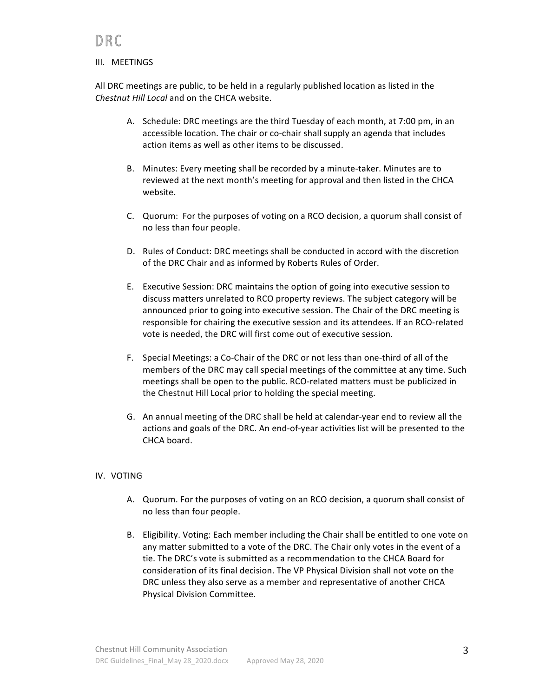#### III. MEETINGS

All DRC meetings are public, to be held in a regularly published location as listed in the *Chestnut Hill Local and on the CHCA website.* 

- A. Schedule: DRC meetings are the third Tuesday of each month, at 7:00 pm, in an accessible location. The chair or co-chair shall supply an agenda that includes action items as well as other items to be discussed.
- B. Minutes: Every meeting shall be recorded by a minute-taker. Minutes are to reviewed at the next month's meeting for approval and then listed in the CHCA website.
- C. Quorum: For the purposes of voting on a RCO decision, a quorum shall consist of no less than four people.
- D. Rules of Conduct: DRC meetings shall be conducted in accord with the discretion of the DRC Chair and as informed by Roberts Rules of Order.
- E. Executive Session: DRC maintains the option of going into executive session to discuss matters unrelated to RCO property reviews. The subject category will be announced prior to going into executive session. The Chair of the DRC meeting is responsible for chairing the executive session and its attendees. If an RCO-related vote is needed, the DRC will first come out of executive session.
- F. Special Meetings: a Co-Chair of the DRC or not less than one-third of all of the members of the DRC may call special meetings of the committee at any time. Such meetings shall be open to the public. RCO-related matters must be publicized in the Chestnut Hill Local prior to holding the special meeting.
- G. An annual meeting of the DRC shall be held at calendar-year end to review all the actions and goals of the DRC. An end-of-year activities list will be presented to the CHCA board.

# IV. VOTING

- A. Quorum. For the purposes of voting on an RCO decision, a quorum shall consist of no less than four people.
- B. Eligibility. Voting: Each member including the Chair shall be entitled to one vote on any matter submitted to a vote of the DRC. The Chair only votes in the event of a tie. The DRC's vote is submitted as a recommendation to the CHCA Board for consideration of its final decision. The VP Physical Division shall not vote on the DRC unless they also serve as a member and representative of another CHCA Physical Division Committee.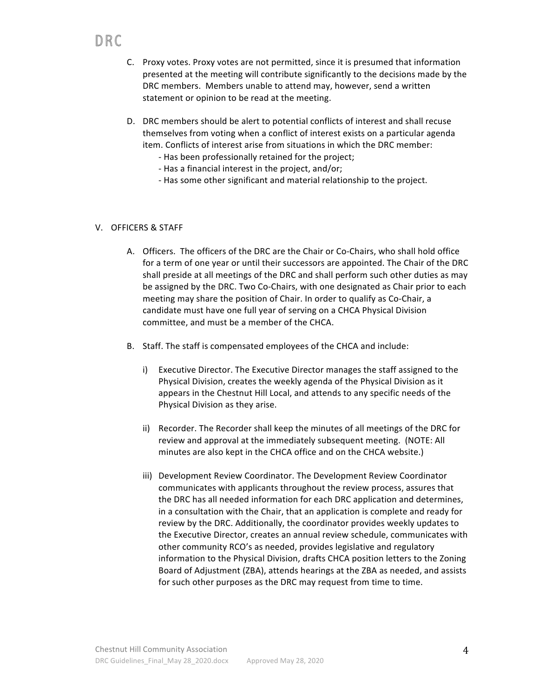- C. Proxy votes. Proxy votes are not permitted, since it is presumed that information presented at the meeting will contribute significantly to the decisions made by the DRC members. Members unable to attend may, however, send a written statement or opinion to be read at the meeting.
- D. DRC members should be alert to potential conflicts of interest and shall recuse themselves from voting when a conflict of interest exists on a particular agenda item. Conflicts of interest arise from situations in which the DRC member:
	- Has been professionally retained for the project;
	- Has a financial interest in the project, and/or;
	- Has some other significant and material relationship to the project.

# V. OFFICERS & STAFF

- A. Officers. The officers of the DRC are the Chair or Co-Chairs, who shall hold office for a term of one year or until their successors are appointed. The Chair of the DRC shall preside at all meetings of the DRC and shall perform such other duties as may be assigned by the DRC. Two Co-Chairs, with one designated as Chair prior to each meeting may share the position of Chair. In order to qualify as Co-Chair, a candidate must have one full year of serving on a CHCA Physical Division committee, and must be a member of the CHCA.
- B. Staff. The staff is compensated employees of the CHCA and include:
	- i) Executive Director. The Executive Director manages the staff assigned to the Physical Division, creates the weekly agenda of the Physical Division as it appears in the Chestnut Hill Local, and attends to any specific needs of the Physical Division as they arise.
	- ii) Recorder. The Recorder shall keep the minutes of all meetings of the DRC for review and approval at the immediately subsequent meeting. (NOTE: All minutes are also kept in the CHCA office and on the CHCA website.)
	- iii) Development Review Coordinator. The Development Review Coordinator communicates with applicants throughout the review process, assures that the DRC has all needed information for each DRC application and determines, in a consultation with the Chair, that an application is complete and ready for review by the DRC. Additionally, the coordinator provides weekly updates to the Executive Director, creates an annual review schedule, communicates with other community RCO's as needed, provides legislative and regulatory information to the Physical Division, drafts CHCA position letters to the Zoning Board of Adjustment (ZBA), attends hearings at the ZBA as needed, and assists for such other purposes as the DRC may request from time to time.